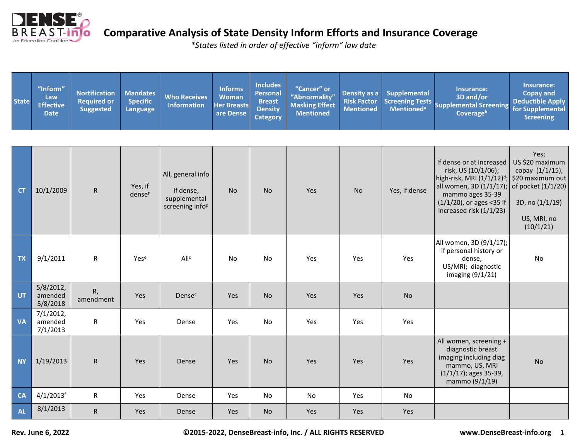

| <b>State</b> | "Inform"<br>Law<br><b>Effective</b><br><b>Date</b> | <b>Nortification</b><br><b>Required or</b><br><b>Suggested</b> | <b>Mandates</b><br><b>Specific</b><br><b>Language</b> | <b>Who Receives</b><br><b>Information</b>   | <b>Informs</b><br><b>Woman</b><br><b>Her Breasts</b><br>are Dense | <b>Includes</b><br><b>Personal</b><br><b>Breast</b><br><b>Density</b><br><b>Category</b> | "Cancer" or<br>"Abnormality"<br><b>Masking Effect</b><br><b>Mentioned</b> | Density as a<br><b>Risk Factor</b><br><b>Mentioned</b> | <b>Supplemental</b><br><b>Screening Tests</b><br><b>Mentioned</b> <sup>a</sup> | <b>Insurance:</b><br>3D and/or<br><b>Supplemental Screening</b><br>Coverageb                                                                     | Insurance:<br><b>Copay and</b><br><b>Deductible Apply</b><br>for Supplemental<br><b>Screening</b> |
|--------------|----------------------------------------------------|----------------------------------------------------------------|-------------------------------------------------------|---------------------------------------------|-------------------------------------------------------------------|------------------------------------------------------------------------------------------|---------------------------------------------------------------------------|--------------------------------------------------------|--------------------------------------------------------------------------------|--------------------------------------------------------------------------------------------------------------------------------------------------|---------------------------------------------------------------------------------------------------|
| <b>CT</b>    | 10/1/2009                                          | ${\sf R}$                                                      | Yes, if<br>dense <sup>p</sup>                         | All, general info<br>If dense,              | <b>No</b>                                                         | <b>No</b>                                                                                | Yes                                                                       | <b>No</b>                                              | Yes, if dense                                                                  | If dense or at increased<br>risk, US (10/1/06);<br>high-risk, MRI $(1/1/12)^d$ ; \$20 maximum out<br>all women, 3D (1/1/17);<br>mammo ages 35-39 | Yes;<br>US \$20 maximum<br>copay (1/1/15),<br>of pocket (1/1/20)                                  |
|              |                                                    |                                                                |                                                       | supplemental<br>screening info <sup>p</sup> |                                                                   |                                                                                          |                                                                           |                                                        |                                                                                | $(1/1/20)$ , or ages <35 if<br>increased risk (1/1/23)                                                                                           | 3D, no (1/1/19)<br>US, MRI, no<br>(10/1/21)                                                       |
| <b>TX</b>    | 9/1/2011                                           | $\mathsf{R}$                                                   | Yese                                                  | All <sup>c</sup>                            | No                                                                | No                                                                                       | Yes                                                                       | Yes                                                    | Yes                                                                            | All women, 3D (9/1/17);<br>if personal history or<br>dense,<br>US/MRI; diagnostic<br>imaging (9/1/21)                                            | No                                                                                                |
| <b>UT</b>    | $5/8/2012$ ,<br>amended<br>5/8/2018                | R,<br>amendment                                                | Yes                                                   | <b>Dense</b> <sup>c</sup>                   | Yes                                                               | <b>No</b>                                                                                | Yes                                                                       | Yes                                                    | <b>No</b>                                                                      |                                                                                                                                                  |                                                                                                   |
| <b>VA</b>    | 7/1/2012,<br>amended<br>7/1/2013                   | ${\sf R}$                                                      | Yes                                                   | Dense                                       | Yes                                                               | No                                                                                       | Yes                                                                       | Yes                                                    | Yes                                                                            |                                                                                                                                                  |                                                                                                   |
| <b>NY</b>    | 1/19/2013                                          | ${\sf R}$                                                      | Yes                                                   | Dense                                       | Yes                                                               | <b>No</b>                                                                                | Yes                                                                       | Yes                                                    | Yes                                                                            | All women, screening +<br>diagnostic breast<br>imaging including diag<br>mammo, US, MRI<br>$(1/1/17)$ ; ages 35-39,<br>mammo (9/1/19)            | <b>No</b>                                                                                         |
| <b>CA</b>    | $4/1/2013$ <sup>f</sup>                            | ${\sf R}$                                                      | Yes                                                   | Dense                                       | Yes                                                               | No                                                                                       | No                                                                        | Yes                                                    | No                                                                             |                                                                                                                                                  |                                                                                                   |
| <b>AL</b>    | 8/1/2013                                           | ${\sf R}$                                                      | Yes                                                   | Dense                                       | <b>Yes</b>                                                        | <b>No</b>                                                                                | Yes                                                                       | Yes                                                    | Yes                                                                            |                                                                                                                                                  |                                                                                                   |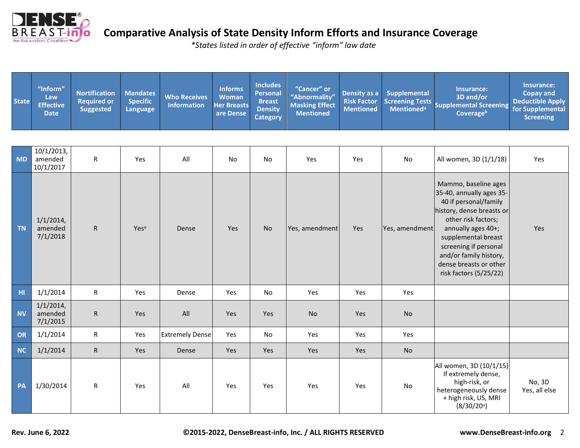

| MD             | 10/1/2013,<br>amended<br>10/1/2017  | ${\sf R}$    | Yes  | All                    | No  | No        | Yes            | Yes | No             | All women, 3D (1/1/18)                                                                                                                                                                                                                                                            | Yes                     |
|----------------|-------------------------------------|--------------|------|------------------------|-----|-----------|----------------|-----|----------------|-----------------------------------------------------------------------------------------------------------------------------------------------------------------------------------------------------------------------------------------------------------------------------------|-------------------------|
| <b>TN</b>      | $1/1/2014$ ,<br>amended<br>7/1/2018 | $\mathsf{R}$ | Yese | Dense                  | Yes | <b>No</b> | Yes, amendment | Yes | Yes, amendment | Mammo, baseline ages<br>35-40, annually ages 35-<br>40 if personal/family<br>history, dense breasts or<br>other risk factors;<br>annually ages 40+;<br>supplemental breast<br>screening if personal<br>and/or family history,<br>dense breasts or other<br>risk factors (5/25/22) | Yes                     |
| H <sub>1</sub> | 1/1/2014                            | $\mathsf{R}$ | Yes  | Dense                  | Yes | No        | Yes            | Yes | Yes            |                                                                                                                                                                                                                                                                                   |                         |
| <b>NV</b>      | $1/1/2014$ ,<br>amended<br>7/1/2015 | $\mathsf{R}$ | Yes  | All                    | Yes | Yes       | <b>No</b>      | Yes | <b>No</b>      |                                                                                                                                                                                                                                                                                   |                         |
| OR             | 1/1/2014                            | $\mathsf{R}$ | Yes  | <b>Extremely Dense</b> | Yes | <b>No</b> | Yes            | Yes | Yes            |                                                                                                                                                                                                                                                                                   |                         |
| <b>NC</b>      | 1/1/2014                            | $\mathsf{R}$ | Yes  | Dense                  | Yes | Yes       | Yes            | Yes | <b>No</b>      |                                                                                                                                                                                                                                                                                   |                         |
| PA             | 1/30/2014                           | ${\sf R}$    | Yes  | All                    | Yes | Yes       | Yes            | Yes | No             | All women, 3D (10/1/15)<br>If extremely dense,<br>high-risk, or<br>heterogeneously dense<br>+ high risk, US, MRI<br>$(8/30/20^u)$                                                                                                                                                 | No, 3D<br>Yes, all else |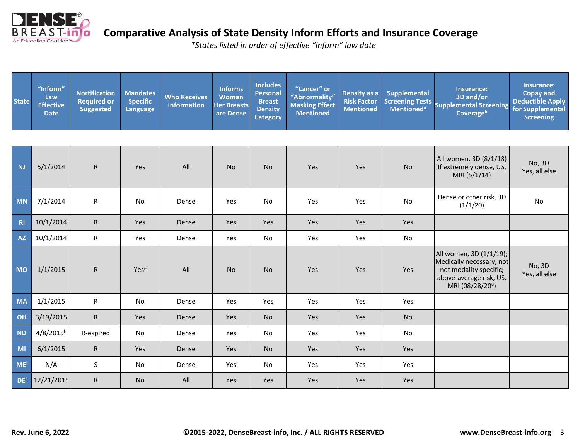

| <b>State</b> | "Inform"<br>Law<br><b>Effective</b><br><b>Date</b> | <b>Nortification</b><br><b>Required or</b><br><b>Suggested</b> | <b>Mandates</b><br><b>Specific</b><br><b>Language</b> | <b>Who Receives</b><br><b>Information</b> | <b>Informs</b><br><b>Woman</b><br><b>Her Breasts</b><br>are Dense | <b>Includes</b><br><b>Personal</b><br><b>Breast</b><br><b>Density</b><br><b>Category</b> | "Cancer" or<br>"Abnormality"<br><b>Masking Effect</b><br><b>Mentioned</b> | Density as a<br><b>Risk Factor</b><br><b>Mentioned</b> | <b>Supplemental</b> | Insurance:<br>3D and/or<br>Screening Tests<br>Supplemental Screening<br>Coverageb                                           | Insurance:<br><b>Copay and</b><br><b>Deductible Apply</b><br>for Supplemental<br><b>Screening</b> |
|--------------|----------------------------------------------------|----------------------------------------------------------------|-------------------------------------------------------|-------------------------------------------|-------------------------------------------------------------------|------------------------------------------------------------------------------------------|---------------------------------------------------------------------------|--------------------------------------------------------|---------------------|-----------------------------------------------------------------------------------------------------------------------------|---------------------------------------------------------------------------------------------------|
|              |                                                    |                                                                |                                                       |                                           |                                                                   |                                                                                          |                                                                           |                                                        |                     |                                                                                                                             |                                                                                                   |
| <b>NJ</b>    | 5/1/2014                                           | $\mathsf{R}$                                                   | Yes                                                   | All                                       | <b>No</b>                                                         | <b>No</b>                                                                                | Yes                                                                       | Yes                                                    | <b>No</b>           | All women, 3D (8/1/18)<br>If extremely dense, US,<br>MRI (5/1/14)                                                           | No, 3D<br>Yes, all else                                                                           |
| <b>MN</b>    | 7/1/2014                                           | ${\sf R}$                                                      | No                                                    | Dense                                     | Yes                                                               | No                                                                                       | Yes                                                                       | Yes                                                    | No                  | Dense or other risk, 3D<br>(1/1/20)                                                                                         | No                                                                                                |
| R1           | 10/1/2014                                          | $\mathsf{R}$                                                   | Yes                                                   | Dense                                     | Yes                                                               | Yes                                                                                      | Yes                                                                       | Yes                                                    | Yes                 |                                                                                                                             |                                                                                                   |
| <b>AZ</b>    | 10/1/2014                                          | $\mathsf{R}$                                                   | Yes                                                   | Dense                                     | Yes                                                               | No                                                                                       | Yes                                                                       | Yes                                                    | No                  |                                                                                                                             |                                                                                                   |
| <b>MO</b>    | 1/1/2015                                           | $\mathsf{R}$                                                   | Yese                                                  | All                                       | <b>No</b>                                                         | <b>No</b>                                                                                | Yes                                                                       | Yes                                                    | Yes                 | All women, 3D (1/1/19);<br>Medically necessary, not<br>not modality specific;<br>above-average risk, US,<br>MRI (08/28/20") | No, 3D<br>Yes, all else                                                                           |
| <b>MA</b>    | 1/1/2015                                           | $\mathsf{R}$                                                   | <b>No</b>                                             | Dense                                     | Yes                                                               | Yes                                                                                      | Yes                                                                       | Yes                                                    | Yes                 |                                                                                                                             |                                                                                                   |
| OH           | 3/19/2015                                          | $\mathsf{R}$                                                   | Yes                                                   | Dense                                     | <b>Yes</b>                                                        | <b>No</b>                                                                                | Yes                                                                       | Yes                                                    | <b>No</b>           |                                                                                                                             |                                                                                                   |
| <b>ND</b>    | $4/8/2015^h$                                       | R-expired                                                      | No                                                    | Dense                                     | Yes                                                               | No                                                                                       | Yes                                                                       | Yes                                                    | No                  |                                                                                                                             |                                                                                                   |
| MI           | 6/1/2015                                           | $\mathsf{R}$                                                   | Yes                                                   | Dense                                     | Yes                                                               | <b>No</b>                                                                                | Yes                                                                       | Yes                                                    | Yes                 |                                                                                                                             |                                                                                                   |
| <b>ME</b>    | N/A                                                | $\sf S$                                                        | No                                                    | Dense                                     | Yes                                                               | No                                                                                       | Yes                                                                       | Yes                                                    | Yes                 |                                                                                                                             |                                                                                                   |
| <b>DE</b>    | 12/21/2015                                         | $\mathsf{R}$                                                   | <b>No</b>                                             | All                                       | Yes                                                               | <b>Yes</b>                                                                               | Yes                                                                       | Yes                                                    | Yes                 |                                                                                                                             |                                                                                                   |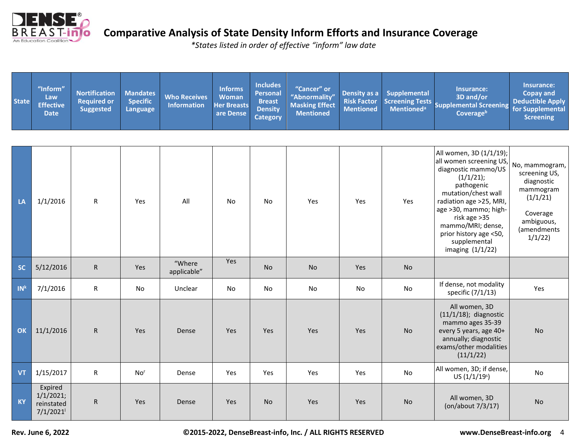

| <b>State</b>    | "Inform"<br>Law<br><b>Effective</b><br><b>Date</b> | <b>Nortification</b><br><b>Required or</b><br><b>Suggested</b> | <b>Mandates</b><br><b>Specific</b><br>Language | <b>Who Receives</b><br><b>Information</b> | <b>Informs</b><br><b>Woman</b><br><b>Her Breasts</b><br>are Dense | <b>Includes</b><br><b>Personal</b><br><b>Breast</b><br><b>Density</b><br><b>Category</b> | "Cancer" or<br>"Abnormality"<br><b>Masking Effect</b><br><b>Mentioned</b> | Density as a<br><b>Risk Factor</b><br><b>Mentioned</b> | <b>Supplemental</b><br><b>Screening Tests</b><br><b>Mentioned</b> <sup>a</sup> | Insurance:<br>3D and/or<br><b>Supplemental Screening</b><br>Coverageb                                                                                                                                                                                                                 | Insurance:<br><b>Copay and</b><br><b>Deductible Apply</b><br>for Supplemental<br><b>Screening</b>                         |
|-----------------|----------------------------------------------------|----------------------------------------------------------------|------------------------------------------------|-------------------------------------------|-------------------------------------------------------------------|------------------------------------------------------------------------------------------|---------------------------------------------------------------------------|--------------------------------------------------------|--------------------------------------------------------------------------------|---------------------------------------------------------------------------------------------------------------------------------------------------------------------------------------------------------------------------------------------------------------------------------------|---------------------------------------------------------------------------------------------------------------------------|
| LA              | 1/1/2016                                           | ${\sf R}$                                                      | Yes                                            | All                                       | No                                                                | No                                                                                       | Yes                                                                       | Yes                                                    | Yes                                                                            | All women, 3D (1/1/19);<br>all women screening US,<br>diagnostic mammo/US<br>(1/1/21);<br>pathogenic<br>mutation/chest wall<br>radiation age >25, MRI,<br>age >30, mammo; high-<br>risk age > 35<br>mammo/MRI; dense,<br>prior history age <50,<br>supplemental<br>imaging $(1/1/22)$ | No, mammogram,<br>screening US,<br>diagnostic<br>mammogram<br>(1/1/21)<br>Coverage<br>ambiguous,<br>(amendments<br>1/1/22 |
| <b>SC</b>       | 5/12/2016                                          | ${\sf R}$                                                      | Yes                                            | "Where<br>applicable"                     | Yes                                                               | <b>No</b>                                                                                | <b>No</b>                                                                 | <b>Yes</b>                                             | <b>No</b>                                                                      |                                                                                                                                                                                                                                                                                       |                                                                                                                           |
| IN <sup>k</sup> | 7/1/2016                                           | ${\sf R}$                                                      | No                                             | Unclear                                   | No                                                                | No                                                                                       | No                                                                        | No                                                     | No                                                                             | If dense, not modality<br>specific (7/1/13)                                                                                                                                                                                                                                           | Yes                                                                                                                       |
| OK              | 11/1/2016                                          | $\mathsf{R}$                                                   | <b>Yes</b>                                     | Dense                                     | <b>Yes</b>                                                        | <b>Yes</b>                                                                               | Yes                                                                       | Yes                                                    | <b>No</b>                                                                      | All women, 3D<br>$(11/1/18)$ ; diagnostic<br>mammo ages 35-39<br>every 5 years, age 40+<br>annually; diagnostic<br>exams/other modalities<br>(11/1/22)                                                                                                                                | <b>No</b>                                                                                                                 |
| <b>VT</b>       | 1/15/2017                                          | ${\sf R}$                                                      | No <sup>r</sup>                                | Dense                                     | Yes                                                               | Yes                                                                                      | Yes                                                                       | Yes                                                    | No                                                                             | All women, 3D; if dense,<br>US(1/1/19 <sup>s</sup> )                                                                                                                                                                                                                                  | No                                                                                                                        |
| <b>KY</b>       | Expired<br>1/1/2021;<br>reinstated<br>7/1/2021     | ${\sf R}$                                                      | Yes                                            | Dense                                     | Yes                                                               | No                                                                                       | Yes                                                                       | Yes                                                    | No                                                                             | All women, 3D<br>(on/about 7/3/17)                                                                                                                                                                                                                                                    | No                                                                                                                        |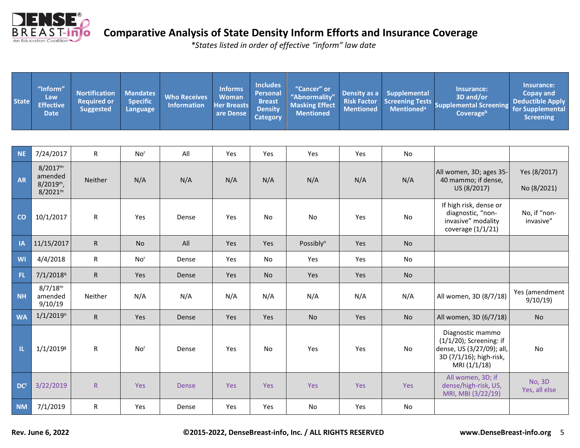

| <b>State</b> | "Inform"<br>Law<br><b>Effective</b><br><b>Date</b>                    | <b>Nortification</b><br><b>Required or</b><br><b>Suggested</b> | <b>Mandates</b><br><b>Specific</b><br>Language | <b>Who Receives</b><br><b>Information</b> | <b>Informs</b><br><b>Woman</b><br><b>Her Breasts</b><br>are Dense | <b>Includes</b><br><b>Personal</b><br><b>Breast</b><br><b>Density</b><br><b>Category</b> | "Cancer" or<br>"Abnormality"<br><b>Masking Effect</b><br><b>Mentioned</b> | Density as a<br><b>Risk Factor</b><br><b>Mentioned</b> | <b>Supplemental</b> | Insurance:<br>3D and/or<br>Screening Tests<br>Supplemental Screening<br>Coverageb                                      | Insurance:<br><b>Copay and</b><br><b>Deductible Apply</b><br>for Supplemental<br><b>Screening</b> |
|--------------|-----------------------------------------------------------------------|----------------------------------------------------------------|------------------------------------------------|-------------------------------------------|-------------------------------------------------------------------|------------------------------------------------------------------------------------------|---------------------------------------------------------------------------|--------------------------------------------------------|---------------------|------------------------------------------------------------------------------------------------------------------------|---------------------------------------------------------------------------------------------------|
|              |                                                                       |                                                                |                                                |                                           |                                                                   |                                                                                          |                                                                           |                                                        |                     |                                                                                                                        |                                                                                                   |
| <b>NE</b>    | 7/24/2017                                                             | $\mathsf{R}$                                                   | No <sup>r</sup>                                | All                                       | Yes                                                               | Yes                                                                                      | Yes                                                                       | Yes                                                    | No                  |                                                                                                                        |                                                                                                   |
| <b>AR</b>    | 8/2017 <sup>m</sup><br>amended<br>$8/2019^m$ ,<br>8/2021 <sup>m</sup> | Neither                                                        | N/A                                            | N/A                                       | N/A                                                               | N/A                                                                                      | N/A                                                                       | N/A                                                    | N/A                 | All women, 3D; ages 35-<br>40 mammo; if dense,<br>US (8/2017)                                                          | Yes (8/2017)<br>No (8/2021)                                                                       |
| CO           | 10/1/2017                                                             | $\mathsf{R}$                                                   | Yes                                            | Dense                                     | Yes                                                               | No                                                                                       | No                                                                        | Yes                                                    | No                  | If high risk, dense or<br>diagnostic, "non-<br>invasive" modality<br>coverage $(1/1/21)$                               | No, if "non-<br>invasive"                                                                         |
| A            | 11/15/2017                                                            | $\mathsf{R}$                                                   | <b>No</b>                                      | All                                       | Yes                                                               | Yes                                                                                      | Possibly <sup>n</sup>                                                     | <b>Yes</b>                                             | <b>No</b>           |                                                                                                                        |                                                                                                   |
| <b>WI</b>    | 4/4/2018                                                              | ${\sf R}$                                                      | No <sup>r</sup>                                | Dense                                     | Yes                                                               | No                                                                                       | Yes                                                                       | Yes                                                    | No                  |                                                                                                                        |                                                                                                   |
| <b>FL</b>    | 7/1/2018 <sup>q</sup>                                                 | $\mathsf{R}$                                                   | Yes                                            | Dense                                     | Yes                                                               | No                                                                                       | Yes                                                                       | Yes                                                    | No                  |                                                                                                                        |                                                                                                   |
| <b>NH</b>    | 8/7/18 <sup>m</sup><br>amended<br>9/10/19                             | Neither                                                        | N/A                                            | N/A                                       | N/A                                                               | N/A                                                                                      | N/A                                                                       | N/A                                                    | N/A                 | All women, 3D (8/7/18)                                                                                                 | Yes (amendment<br>9/10/19                                                                         |
| <b>WA</b>    | $1/1/2019^{\circ}$                                                    | $\mathsf{R}$                                                   | Yes                                            | Dense                                     | Yes                                                               | Yes                                                                                      | No                                                                        | Yes                                                    | <b>No</b>           | All women, 3D (6/7/18)                                                                                                 | <b>No</b>                                                                                         |
| ាប           | $1/1/2019$ <sup>g</sup>                                               | $\mathsf{R}$                                                   | No <sup>r</sup>                                | Dense                                     | Yes                                                               | <b>No</b>                                                                                | Yes                                                                       | Yes                                                    | <b>No</b>           | Diagnostic mammo<br>$(1/1/20)$ ; Screening: if<br>dense, US (3/27/09); all,<br>3D (7/1/16); high-risk,<br>MRI (1/1/18) | No                                                                                                |
| <b>DCt</b>   | 3/22/2019                                                             | ${\sf R}$                                                      | <b>Yes</b>                                     | <b>Dense</b>                              | Yes                                                               | <b>Yes</b>                                                                               | <b>Yes</b>                                                                | <b>Yes</b>                                             | Yes                 | All women, 3D; if<br>dense/high-risk, US,<br>MRI, MBI (3/22/19)                                                        | <b>No, 3D</b><br>Yes, all else                                                                    |
| <b>NM</b>    | 7/1/2019                                                              | ${\sf R}$                                                      | Yes                                            | Dense                                     | Yes                                                               | Yes                                                                                      | No                                                                        | Yes                                                    | No                  |                                                                                                                        |                                                                                                   |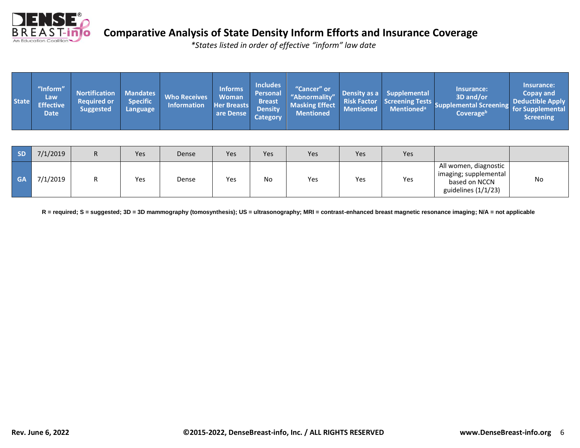

*\*States listed in order of effective "inform" law date*

| <b>State</b> | "Inform"<br>Law.<br><b>Effective</b><br><b>Date</b> | <b>Nortification</b><br><b>Required or</b><br><b>Suggested</b> | <b>Mandates</b><br><b>Specific</b><br>Language | <b>Who Receives</b><br><b>Information</b> | <b>Informs</b><br><b>Woman</b><br><b>Her Breasts</b><br>are Dense | <b>Includes</b><br><b>Personal</b><br><b>Breast</b><br><b>Density</b><br><b>Category</b> | "Cancer" or<br>"Abnormality"<br><b>Masking Effect</b><br><b>Mentioned</b> | <b>Mentioned</b> | Density as a Supplemental<br>Risk Factor Screening Tests<br>Mentioned <sup>a</sup> | Insurance:<br>3D and/or<br>Supplemental Screening for Supplemental<br>Coverage <sup>b</sup> | Insurance:<br>Copay and<br>Deductible Apply<br><b>Screening</b> |
|--------------|-----------------------------------------------------|----------------------------------------------------------------|------------------------------------------------|-------------------------------------------|-------------------------------------------------------------------|------------------------------------------------------------------------------------------|---------------------------------------------------------------------------|------------------|------------------------------------------------------------------------------------|---------------------------------------------------------------------------------------------|-----------------------------------------------------------------|
|--------------|-----------------------------------------------------|----------------------------------------------------------------|------------------------------------------------|-------------------------------------------|-------------------------------------------------------------------|------------------------------------------------------------------------------------------|---------------------------------------------------------------------------|------------------|------------------------------------------------------------------------------------|---------------------------------------------------------------------------------------------|-----------------------------------------------------------------|

| <b>SD</b> | 7/1/2019 | n. | <b>Yes</b> | Dense | Yes | Yes | Yes | Yes | Yes |                                                                                        |    |
|-----------|----------|----|------------|-------|-----|-----|-----|-----|-----|----------------------------------------------------------------------------------------|----|
| <b>GA</b> | 7/1/2019 |    | Yes        | Dense | Yes | No  | Yes | Yes | Yes | All women, diagnostic<br>imaging; supplemental<br>based on NCCN<br>guidelines (1/1/23) | No |

 **R = required; S = suggested; 3D = 3D mammography (tomosynthesis); US = ultrasonography; MRI = contrast-enhanced breast magnetic resonance imaging; N/A = not applicable**